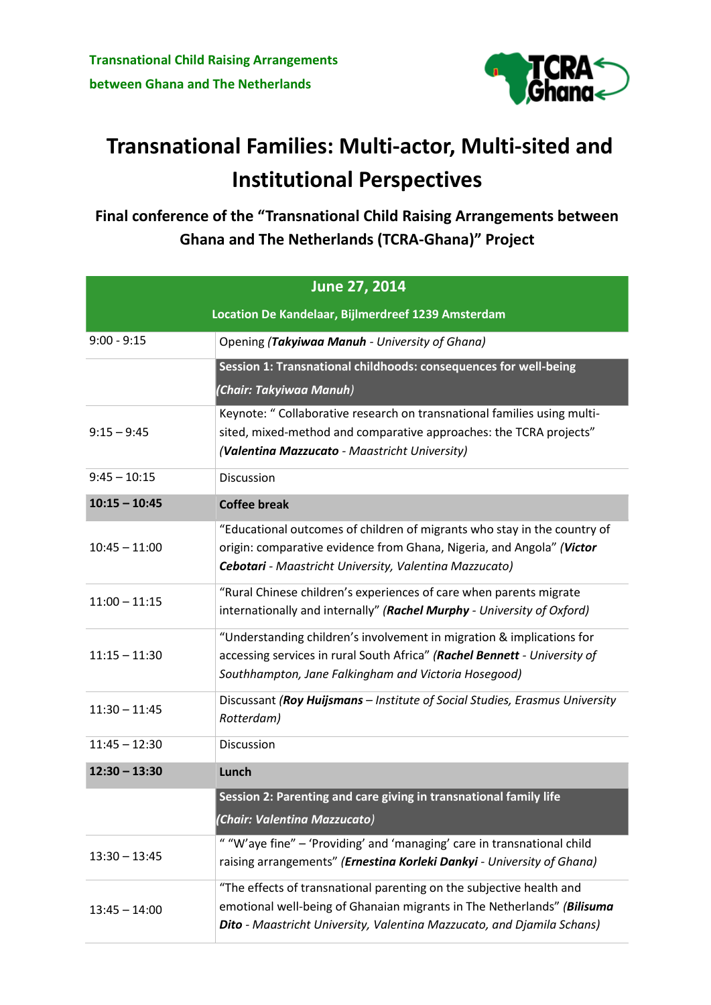

## **Transnational Families: Multi-actor, Multi-sited and Institutional Perspectives**

**Final conference of the "Transnational Child Raising Arrangements between Ghana and The Netherlands (TCRA-Ghana)" Project**

| June 27, 2014                                      |                                                                                                                                                                                                                           |  |
|----------------------------------------------------|---------------------------------------------------------------------------------------------------------------------------------------------------------------------------------------------------------------------------|--|
| Location De Kandelaar, Bijlmerdreef 1239 Amsterdam |                                                                                                                                                                                                                           |  |
| $9:00 - 9:15$                                      | Opening (Takyiwaa Manuh - University of Ghana)                                                                                                                                                                            |  |
|                                                    | Session 1: Transnational childhoods: consequences for well-being                                                                                                                                                          |  |
|                                                    | (Chair: Takyiwaa Manuh)                                                                                                                                                                                                   |  |
| $9:15 - 9:45$                                      | Keynote: " Collaborative research on transnational families using multi-<br>sited, mixed-method and comparative approaches: the TCRA projects"<br>(Valentina Mazzucato - Maastricht University)                           |  |
| $9:45 - 10:15$                                     | Discussion                                                                                                                                                                                                                |  |
| $10:15 - 10:45$                                    | <b>Coffee break</b>                                                                                                                                                                                                       |  |
| $10:45 - 11:00$                                    | "Educational outcomes of children of migrants who stay in the country of<br>origin: comparative evidence from Ghana, Nigeria, and Angola" (Victor<br>Cebotari - Maastricht University, Valentina Mazzucato)               |  |
| $11:00 - 11:15$                                    | "Rural Chinese children's experiences of care when parents migrate<br>internationally and internally" (Rachel Murphy - University of Oxford)                                                                              |  |
| $11:15 - 11:30$                                    | "Understanding children's involvement in migration & implications for<br>accessing services in rural South Africa" (Rachel Bennett - University of<br>Southhampton, Jane Falkingham and Victoria Hosegood)                |  |
| $11:30 - 11:45$                                    | Discussant (Roy Huijsmans - Institute of Social Studies, Erasmus University<br>Rotterdam)                                                                                                                                 |  |
| $11:45 - 12:30$                                    | <b>Discussion</b>                                                                                                                                                                                                         |  |
| $12:30 - 13:30$                                    | Lunch                                                                                                                                                                                                                     |  |
|                                                    | Session 2: Parenting and care giving in transnational family life                                                                                                                                                         |  |
|                                                    | (Chair: Valentina Mazzucato)                                                                                                                                                                                              |  |
| $13:30 - 13:45$                                    | " "W'aye fine" - 'Providing' and 'managing' care in transnational child<br>raising arrangements" (Ernestina Korleki Dankyi - University of Ghana)                                                                         |  |
| $13:45 - 14:00$                                    | "The effects of transnational parenting on the subjective health and<br>emotional well-being of Ghanaian migrants in The Netherlands" (Bilisuma<br>Dito - Maastricht University, Valentina Mazzucato, and Djamila Schans) |  |